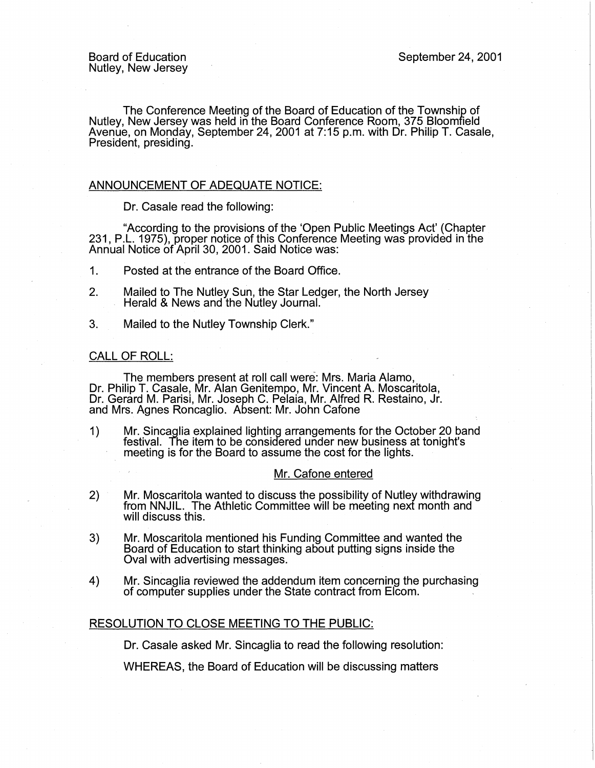The Conference Meeting of the Board of Education of the Township of Nutley, New Jersey was held in the Board Conference Room, 375 Bloomfield Avenue, on Monday, September 24, 2001 at 7:15 p.m. with Dr. Philip T. Casale, President, presiding.

# ANNOUNCEMENT OF ADEQUATE NOTICE:

Dr. Casale read the following:

"According to the provisions of the 'Open Public Meetings Act' (Chapter 231, P.L. 1975), proper notice of this Conference Meeting was provided in the Annual Notice of April 30, 2001. Said Notice was:

- 1. Posted at the entrance of the Board Office.
- 2. Mailed to The Nutley Sun, the Star Ledger, the North Jersey Herald & News and the Nutley Journal.
- 3. Mailed to the Nutley Township Clerk."

#### CALL OF ROLL:

The members present at roll call were: Mrs. Maria Alamo, Dr. Philip T. Casale, Mr. Alan Genitempo, Mr. Vincent A. Moscaritola, Dr. Gerard M. Parisi, Mr. Joseph C. Pelaia, Mr. Alfred R. Restaino, Jr. and Mrs. Agnes Roncaglio. Absent: Mr. John Catone

1) Mr. Sincaglia explained lighting arrangements for the October 20 band festival. The item to be considered under new business at tonight's meeting is for the Board to assume the cost for the lights.

### Mr. Cafone entered

- 2) Mr. Moscaritola wanted to discuss the possibility of Nutley withdrawing from NNJIL. The Athletic Committee will be meeting next month and will discuss this.
- 3) Mr. Moscaritola mentioned his Funding Committee and wanted the Board of Education to start thinking about putting signs inside the Oval with advertising messages.
- 4) Mr. Sincaglia reviewed the addendum item concerning the purchasing of computer supplies under the State contract from Elcom.

### RESOLUTION TO CLOSE MEETING TO THE PUBLIC:

Dr. Casale asked Mr. Sincaglia to read the following resolution:

WHEREAS, the Board of Education will be discussing matters